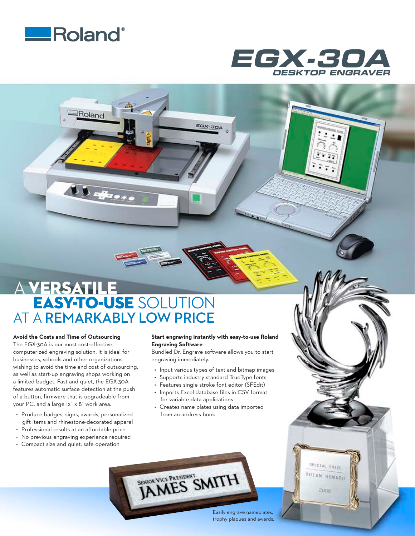

Roland

 $b$   $b$  afternoon



# A VERSATILE EASY-TO-USE SOLUTION AT A **REMARKABLY LOW PRICE**

### **Avoid the Costs and Time of Outsourcing**

The EGX-30A is our most cost-effective, computerized engraving solution. It is ideal for businesses, schools and other organizations wishing to avoid the time and cost of outsourcing, as well as start-up engraving shops working on a limited budget. Fast and quiet, the EGX-30A features automatic surface detection at the push of a button, firmware that is upgradeable from your PC, and a large 12" x 8" work area.

- • Produce badges, signs, awards, personalized gift items and rhinestone-decorated apparel
- Professional results at an affordable price
- No previous engraving experience required
- • Compact size and quiet, safe operation

### **Start engraving instantly with easy-to-use Roland Engraving Software**

**EGX-30A** 

Bundled Dr. Engrave software allows you to start engraving immediately.

- Input various types of text and bitmap images
- Supports industry standard TrueType fonts
- • Features single stroke font editor (SFEdit)
- Imports Excel database files in CSV format for variable data applications
- • Creates name plates using data imported from an address book

SENIOR VICE PRESIDENT SMITH

Easily engrave nameplates, trophy plaques and awards.

SPECIAL PHIZE BRIAN HOWARD

2008